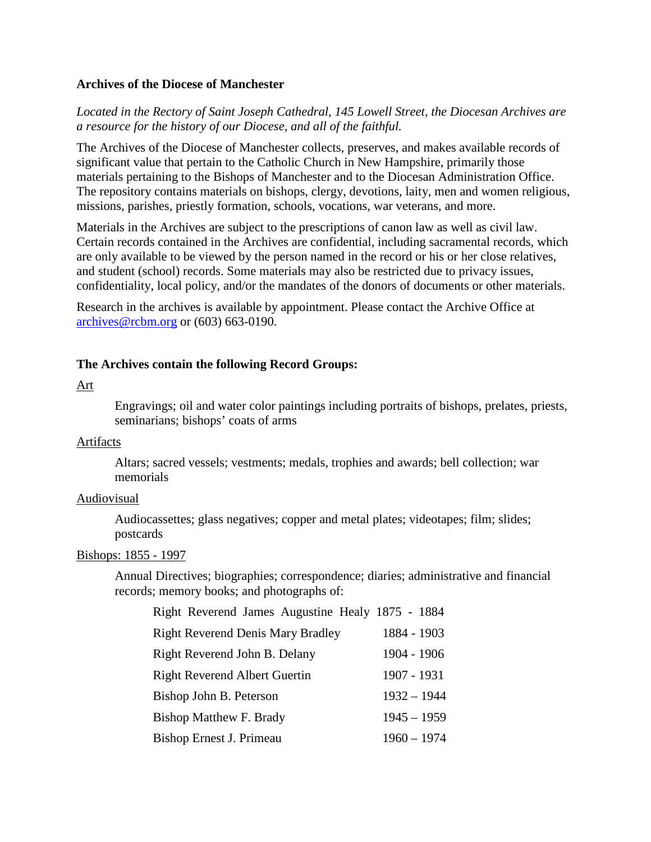## **Archives of the Diocese of Manchester**

*Located in the Rectory of Saint Joseph Cathedral, 145 Lowell Street, the Diocesan Archives are a resource for the history of our Diocese, and all of the faithful.* 

The Archives of the Diocese of Manchester collects, preserves, and makes available records of significant value that pertain to the Catholic Church in New Hampshire, primarily those materials pertaining to the Bishops of Manchester and to the Diocesan Administration Office. The repository contains materials on bishops, clergy, devotions, laity, men and women religious, missions, parishes, priestly formation, schools, vocations, war veterans, and more.

Materials in the Archives are subject to the prescriptions of canon law as well as civil law. Certain records contained in the Archives are confidential, including sacramental records, which are only available to be viewed by the person named in the record or his or her close relatives, and student (school) records. Some materials may also be restricted due to privacy issues, confidentiality, local policy, and/or the mandates of the donors of documents or other materials.

Research in the archives is available by appointment. Please contact the Archive Office at [archives@rcbm.org](mailto:archives@rcbm.org) or (603) 663-0190.

## **The Archives contain the following Record Groups:**

### Art

Engravings; oil and water color paintings including portraits of bishops, prelates, priests, seminarians; bishops' coats of arms

### Artifacts

Altars; sacred vessels; vestments; medals, trophies and awards; bell collection; war memorials

### Audiovisual

Audiocassettes; glass negatives; copper and metal plates; videotapes; film; slides; postcards

### Bishops: 1855 - 1997

Annual Directives; biographies; correspondence; diaries; administrative and financial records; memory books; and photographs of:

| Right Reverend James Augustine Healy 1875 - 1884 |               |
|--------------------------------------------------|---------------|
| <b>Right Reverend Denis Mary Bradley</b>         | 1884 - 1903   |
| Right Reverend John B. Delany                    | 1904 - 1906   |
| <b>Right Reverend Albert Guertin</b>             | 1907 - 1931   |
| Bishop John B. Peterson                          | $1932 - 1944$ |
| <b>Bishop Matthew F. Brady</b>                   | $1945 - 1959$ |
| Bishop Ernest J. Primeau                         | $1960 - 1974$ |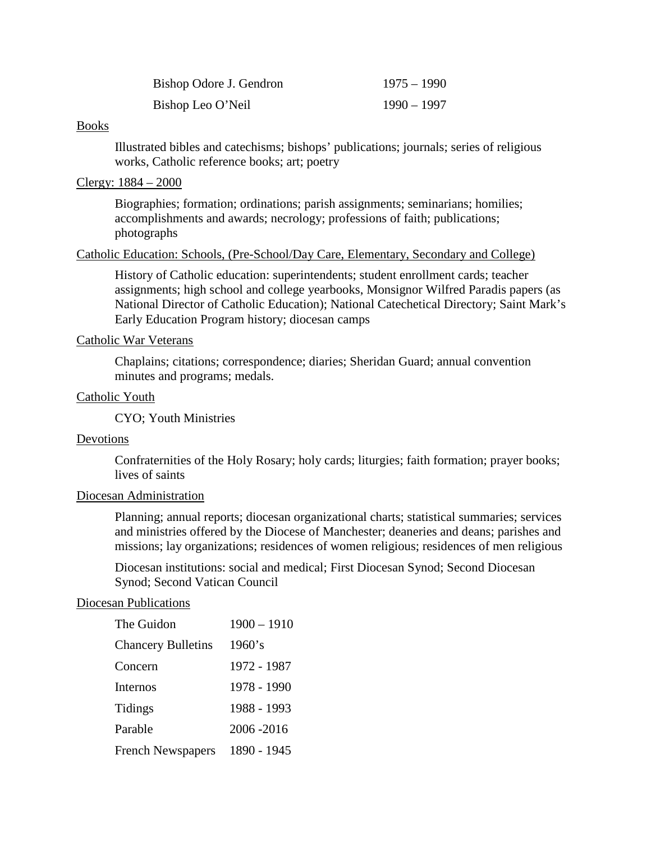| Bishop Odore J. Gendron | $1975 - 1990$ |
|-------------------------|---------------|
| Bishop Leo O'Neil       | 1990 – 1997   |

#### Books

Illustrated bibles and catechisms; bishops' publications; journals; series of religious works, Catholic reference books; art; poetry

## Clergy: 1884 – 2000

Biographies; formation; ordinations; parish assignments; seminarians; homilies; accomplishments and awards; necrology; professions of faith; publications; photographs

## Catholic Education: Schools, (Pre-School/Day Care, Elementary, Secondary and College)

History of Catholic education: superintendents; student enrollment cards; teacher assignments; high school and college yearbooks, Monsignor Wilfred Paradis papers (as National Director of Catholic Education); National Catechetical Directory; Saint Mark's Early Education Program history; diocesan camps

## Catholic War Veterans

Chaplains; citations; correspondence; diaries; Sheridan Guard; annual convention minutes and programs; medals.

## Catholic Youth

CYO; Youth Ministries

## Devotions

Confraternities of the Holy Rosary; holy cards; liturgies; faith formation; prayer books; lives of saints

### Diocesan Administration

Planning; annual reports; diocesan organizational charts; statistical summaries; services and ministries offered by the Diocese of Manchester; deaneries and deans; parishes and missions; lay organizations; residences of women religious; residences of men religious

Diocesan institutions: social and medical; First Diocesan Synod; Second Diocesan Synod; Second Vatican Council

## Diocesan Publications

| The Guidon                | $1900 - 1910$ |
|---------------------------|---------------|
| <b>Chancery Bulletins</b> | 1960's        |
| Concern                   | 1972 - 1987   |
| Internos                  | 1978 - 1990   |
| Tidings                   | 1988 - 1993   |
| Parable                   | 2006 - 2016   |
| <b>French Newspapers</b>  | 1890 - 1945   |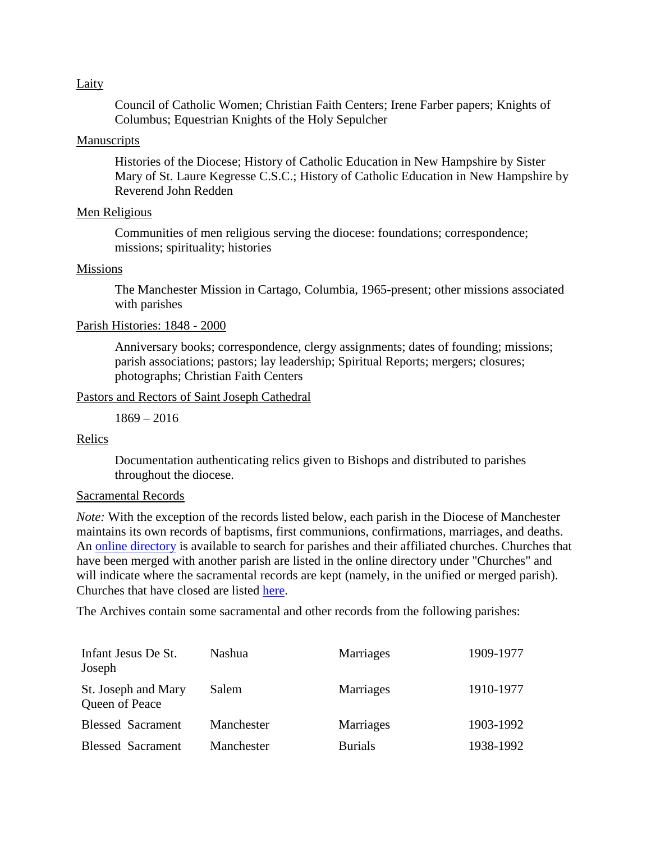### Laity

Council of Catholic Women; Christian Faith Centers; Irene Farber papers; Knights of Columbus; Equestrian Knights of the Holy Sepulcher

## Manuscripts

Histories of the Diocese; History of Catholic Education in New Hampshire by Sister Mary of St. Laure Kegresse C.S.C.; History of Catholic Education in New Hampshire by Reverend John Redden

## Men Religious

Communities of men religious serving the diocese: foundations; correspondence; missions; spirituality; histories

## Missions

The Manchester Mission in Cartago, Columbia, 1965-present; other missions associated with parishes

# Parish Histories: 1848 - 2000

Anniversary books; correspondence, clergy assignments; dates of founding; missions; parish associations; pastors; lay leadership; Spiritual Reports; mergers; closures; photographs; Christian Faith Centers

## Pastors and Rectors of Saint Joseph Cathedral

1869 – 2016

## Relics

Documentation authenticating relics given to Bishops and distributed to parishes throughout the diocese.

## Sacramental Records

*Note:* With the exception of the records listed below, each parish in the Diocese of Manchester maintains its own records of baptisms, first communions, confirmations, marriages, and deaths. An [online directory](http://directory.catholicnh.org/churchsearch) is available to search for parishes and their affiliated churches. Churches that have been merged with another parish are listed in the online directory under "Churches" and will indicate where the sacramental records are kept (namely, in the unified or merged parish). Churches that have closed are listed [here.](http://directory.catholicnh.org/churchsearch/getclosed)

The Archives contain some sacramental and other records from the following parishes:

| Infant Jesus De St.<br>Joseph         | Nashua     | Marriages      | 1909-1977 |
|---------------------------------------|------------|----------------|-----------|
| St. Joseph and Mary<br>Queen of Peace | Salem      | Marriages      | 1910-1977 |
| <b>Blessed Sacrament</b>              | Manchester | Marriages      | 1903-1992 |
| <b>Blessed Sacrament</b>              | Manchester | <b>Burials</b> | 1938-1992 |